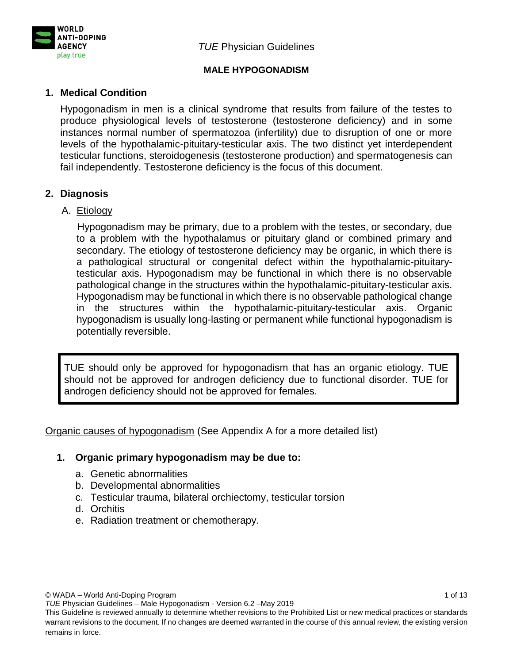

### **MALE HYPOGONADISM**

### **1. Medical Condition**

Hypogonadism in men is a clinical syndrome that results from failure of the testes to produce physiological levels of testosterone (testosterone deficiency) and in some instances normal number of spermatozoa (infertility) due to disruption of one or more levels of the hypothalamic-pituitary-testicular axis. The two distinct yet interdependent testicular functions, steroidogenesis (testosterone production) and spermatogenesis can fail independently. Testosterone deficiency is the focus of this document.

### **2. Diagnosis**

#### A. Etiology

Hypogonadism may be primary, due to a problem with the testes, or secondary, due to a problem with the hypothalamus or pituitary gland or combined primary and secondary. The etiology of testosterone deficiency may be organic, in which there is a pathological structural or congenital defect within the hypothalamic-pituitarytesticular axis. Hypogonadism may be functional in which there is no observable pathological change in the structures within the hypothalamic-pituitary-testicular axis. Hypogonadism may be functional in which there is no observable pathological change in the structures within the hypothalamic-pituitary-testicular axis. Organic hypogonadism is usually long-lasting or permanent while functional hypogonadism is potentially reversible.

TUE should only be approved for hypogonadism that has an organic etiology. TUE should not be approved for androgen deficiency due to functional disorder. TUE for androgen deficiency should not be approved for females.

Organic causes of hypogonadism (See Appendix A for a more detailed list)

#### **1. Organic primary hypogonadism may be due to:**

- a. Genetic abnormalities
- b. Developmental abnormalities
- c. Testicular trauma, bilateral orchiectomy, testicular torsion
- d. Orchitis
- e. Radiation treatment or chemotherapy.

© WADA – World Anti-Doping Program 1 of 13

*TUE* Physician Guidelines – Male Hypogonadism - Version 6.2 –May 2019

This Guideline is reviewed annually to determine whether revisions to the Prohibited List or new medical practices or standards warrant revisions to the document. If no changes are deemed warranted in the course of this annual review, the existing version remains in force.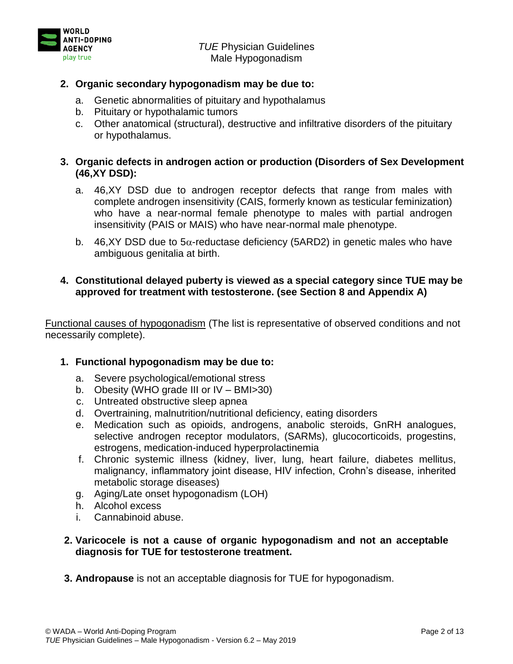



### **2. Organic secondary hypogonadism may be due to:**

- a. Genetic abnormalities of pituitary and hypothalamus
- b. Pituitary or hypothalamic tumors
- c. Other anatomical (structural), destructive and infiltrative disorders of the pituitary or hypothalamus.

### **3. Organic defects in androgen action or production (Disorders of Sex Development (46,XY DSD):**

- a. 46,XY DSD due to androgen receptor defects that range from males with complete androgen insensitivity (CAIS, formerly known as testicular feminization) who have a near-normal female phenotype to males with partial androgen insensitivity (PAIS or MAIS) who have near-normal male phenotype.
- b. 46,XY DSD due to  $5\alpha$ -reductase deficiency (5ARD2) in genetic males who have ambiguous genitalia at birth.

# **4. Constitutional delayed puberty is viewed as a special category since TUE may be approved for treatment with testosterone. (see Section 8 and Appendix A)**

Functional causes of hypogonadism (The list is representative of observed conditions and not necessarily complete).

### **1. Functional hypogonadism may be due to:**

- a. Severe psychological/emotional stress
- b. Obesity (WHO grade III or IV BMI>30)
- c. Untreated obstructive sleep apnea
- d. Overtraining, malnutrition/nutritional deficiency, eating disorders
- e. Medication such as opioids, androgens, anabolic steroids, GnRH analogues, selective androgen receptor modulators, (SARMs), glucocorticoids, progestins, estrogens, medication-induced hyperprolactinemia
- f. Chronic systemic illness (kidney, liver, lung, heart failure, diabetes mellitus, malignancy, inflammatory joint disease, HIV infection, Crohn's disease, inherited metabolic storage diseases)
- g. Aging/Late onset hypogonadism (LOH)
- h. Alcohol excess
- i. Cannabinoid abuse.

### **2. Varicocele is not a cause of organic hypogonadism and not an acceptable diagnosis for TUE for testosterone treatment.**

**3. Andropause** is not an acceptable diagnosis for TUE for hypogonadism.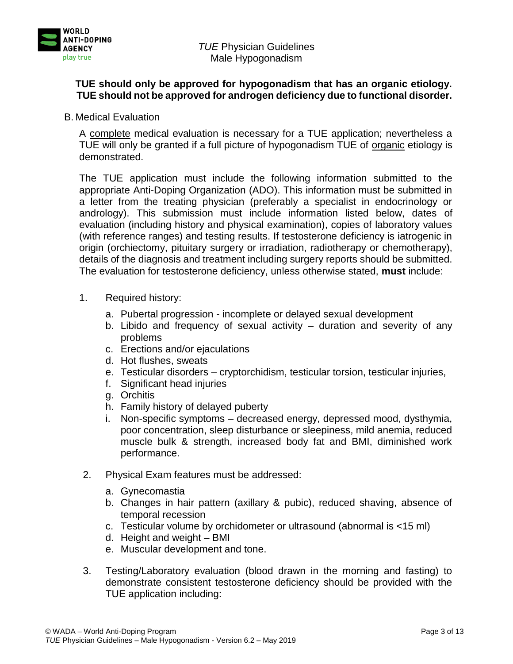

### **TUE should only be approved for hypogonadism that has an organic etiology. TUE should not be approved for androgen deficiency due to functional disorder.**

B. Medical Evaluation

A complete medical evaluation is necessary for a TUE application; nevertheless a TUE will only be granted if a full picture of hypogonadism TUE of organic etiology is demonstrated.

The TUE application must include the following information submitted to the appropriate Anti-Doping Organization (ADO). This information must be submitted in a letter from the treating physician (preferably a specialist in endocrinology or andrology). This submission must include information listed below, dates of evaluation (including history and physical examination), copies of laboratory values (with reference ranges) and testing results. If testosterone deficiency is iatrogenic in origin (orchiectomy, pituitary surgery or irradiation, radiotherapy or chemotherapy), details of the diagnosis and treatment including surgery reports should be submitted. The evaluation for testosterone deficiency, unless otherwise stated, **must** include:

- 1. Required history:
	- a. Pubertal progression incomplete or delayed sexual development
	- b. Libido and frequency of sexual activity duration and severity of any problems
	- c. Erections and/or ejaculations
	- d. Hot flushes, sweats
	- e. Testicular disorders cryptorchidism, testicular torsion, testicular injuries,
	- f. Significant head injuries
	- g. Orchitis
	- h. Family history of delayed puberty
	- i. Non-specific symptoms decreased energy, depressed mood, dysthymia, poor concentration, sleep disturbance or sleepiness, mild anemia, reduced muscle bulk & strength, increased body fat and BMI, diminished work performance.
- 2. Physical Exam features must be addressed:
	- a. Gynecomastia
	- b. Changes in hair pattern (axillary & pubic), reduced shaving, absence of temporal recession
	- c. Testicular volume by orchidometer or ultrasound (abnormal is <15 ml)
	- d. Height and weight BMI
	- e. Muscular development and tone.
- 3. Testing/Laboratory evaluation (blood drawn in the morning and fasting) to demonstrate consistent testosterone deficiency should be provided with the TUE application including: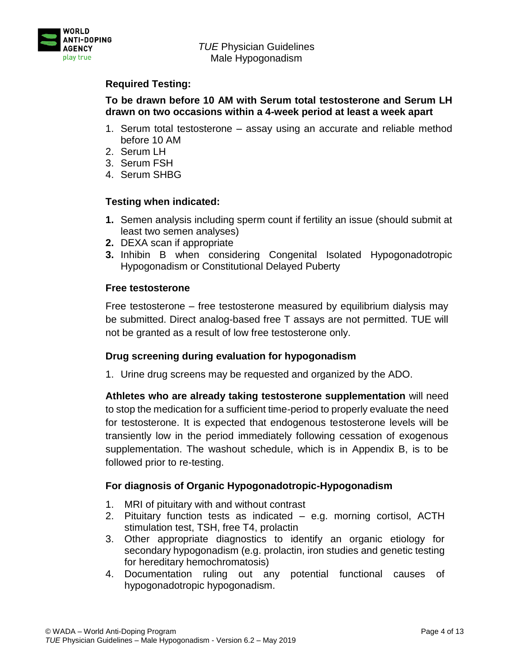

### **Required Testing:**

# **To be drawn before 10 AM with Serum total testosterone and Serum LH drawn on two occasions within a 4-week period at least a week apart**

- 1. Serum total testosterone assay using an accurate and reliable method before 10 AM
- 2. Serum LH
- 3. Serum FSH
- 4. Serum SHBG

# **Testing when indicated:**

- **1.** Semen analysis including sperm count if fertility an issue (should submit at least two semen analyses)
- **2.** DEXA scan if appropriate
- **3.** Inhibin B when considering Congenital Isolated Hypogonadotropic Hypogonadism or Constitutional Delayed Puberty

# **Free testosterone**

Free testosterone – free testosterone measured by equilibrium dialysis may be submitted. Direct analog-based free T assays are not permitted. TUE will not be granted as a result of low free testosterone only.

### **Drug screening during evaluation for hypogonadism**

1. Urine drug screens may be requested and organized by the ADO.

**Athletes who are already taking testosterone supplementation** will need to stop the medication for a sufficient time-period to properly evaluate the need for testosterone. It is expected that endogenous testosterone levels will be transiently low in the period immediately following cessation of exogenous supplementation. The washout schedule, which is in Appendix B, is to be followed prior to re-testing.

# **For diagnosis of Organic Hypogonadotropic-Hypogonadism**

- 1. MRI of pituitary with and without contrast
- 2. Pituitary function tests as indicated e.g. morning cortisol, ACTH stimulation test, TSH, free T4, prolactin
- 3. Other appropriate diagnostics to identify an organic etiology for secondary hypogonadism (e.g. prolactin, iron studies and genetic testing for hereditary hemochromatosis)
- 4. Documentation ruling out any potential functional causes of hypogonadotropic hypogonadism.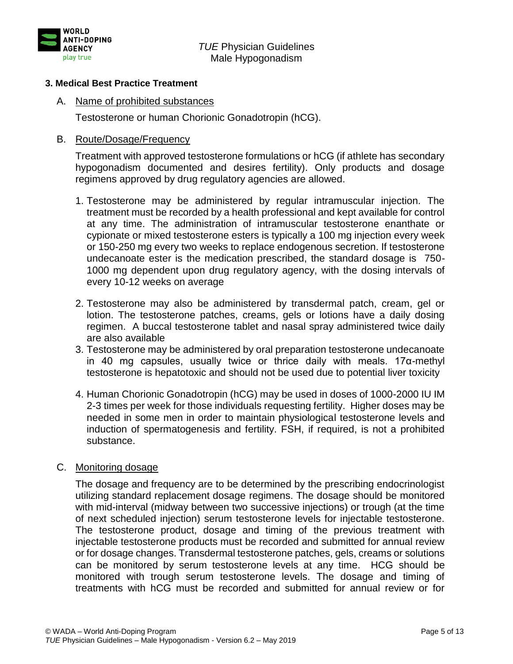

#### **3. Medical Best Practice Treatment**

#### A. Name of prohibited substances

Testosterone or human Chorionic Gonadotropin (hCG).

#### B. Route/Dosage/Frequency

Treatment with approved testosterone formulations or hCG (if athlete has secondary hypogonadism documented and desires fertility). Only products and dosage regimens approved by drug regulatory agencies are allowed.

- 1. Testosterone may be administered by regular intramuscular injection. The treatment must be recorded by a health professional and kept available for control at any time. The administration of intramuscular testosterone enanthate or cypionate or mixed testosterone esters is typically a 100 mg injection every week or 150-250 mg every two weeks to replace endogenous secretion. If testosterone undecanoate ester is the medication prescribed, the standard dosage is 750- 1000 mg dependent upon drug regulatory agency, with the dosing intervals of every 10-12 weeks on average
- 2. Testosterone may also be administered by transdermal patch, cream, gel or lotion. The testosterone patches, creams, gels or lotions have a daily dosing regimen. A buccal testosterone tablet and nasal spray administered twice daily are also available
- 3. Testosterone may be administered by oral preparation testosterone undecanoate in 40 mg capsules, usually twice or thrice daily with meals. 17 $\alpha$ -methyl testosterone is hepatotoxic and should not be used due to potential liver toxicity
- 4. Human Chorionic Gonadotropin (hCG) may be used in doses of 1000-2000 IU IM 2-3 times per week for those individuals requesting fertility. Higher doses may be needed in some men in order to maintain physiological testosterone levels and induction of spermatogenesis and fertility. FSH, if required, is not a prohibited substance.

#### C. Monitoring dosage

The dosage and frequency are to be determined by the prescribing endocrinologist utilizing standard replacement dosage regimens. The dosage should be monitored with mid-interval (midway between two successive injections) or trough (at the time of next scheduled injection) serum testosterone levels for injectable testosterone. The testosterone product, dosage and timing of the previous treatment with injectable testosterone products must be recorded and submitted for annual review or for dosage changes. Transdermal testosterone patches, gels, creams or solutions can be monitored by serum testosterone levels at any time. HCG should be monitored with trough serum testosterone levels. The dosage and timing of treatments with hCG must be recorded and submitted for annual review or for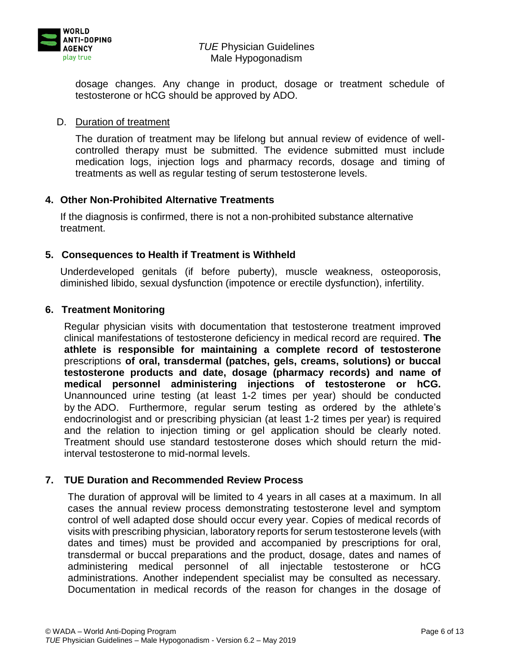

dosage changes. Any change in product, dosage or treatment schedule of testosterone or hCG should be approved by ADO.

#### D. Duration of treatment

The duration of treatment may be lifelong but annual review of evidence of wellcontrolled therapy must be submitted. The evidence submitted must include medication logs, injection logs and pharmacy records, dosage and timing of treatments as well as regular testing of serum testosterone levels.

### **4. Other Non-Prohibited Alternative Treatments**

If the diagnosis is confirmed, there is not a non-prohibited substance alternative treatment.

### **5. Consequences to Health if Treatment is Withheld**

Underdeveloped genitals (if before puberty), muscle weakness, osteoporosis, diminished libido, sexual dysfunction (impotence or erectile dysfunction), infertility.

### **6. Treatment Monitoring**

Regular physician visits with documentation that testosterone treatment improved clinical manifestations of testosterone deficiency in medical record are required. **The athlete is responsible for maintaining a complete record of testosterone**  prescriptions **of oral, transdermal (patches, gels, creams, solutions) or buccal testosterone products and date, dosage (pharmacy records) and name of medical personnel administering injections of testosterone or hCG.** Unannounced urine testing (at least 1-2 times per year) should be conducted by the ADO. Furthermore, regular serum testing as ordered by the athlete's endocrinologist and or prescribing physician (at least 1-2 times per year) is required and the relation to injection timing or gel application should be clearly noted. Treatment should use standard testosterone doses which should return the midinterval testosterone to mid-normal levels.

### **7. TUE Duration and Recommended Review Process**

The duration of approval will be limited to 4 years in all cases at a maximum. In all cases the annual review process demonstrating testosterone level and symptom control of well adapted dose should occur every year. Copies of medical records of visits with prescribing physician, laboratory reports for serum testosterone levels (with dates and times) must be provided and accompanied by prescriptions for oral, transdermal or buccal preparations and the product, dosage, dates and names of administering medical personnel of all injectable testosterone or hCG administrations. Another independent specialist may be consulted as necessary. Documentation in medical records of the reason for changes in the dosage of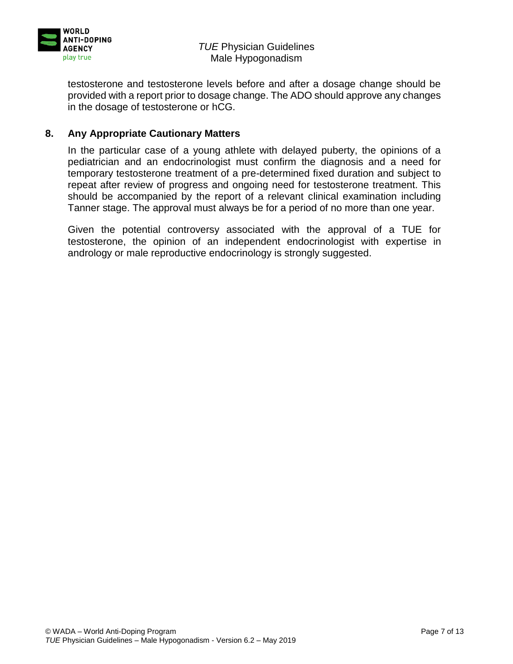

testosterone and testosterone levels before and after a dosage change should be provided with a report prior to dosage change. The ADO should approve any changes in the dosage of testosterone or hCG.

### **8. Any Appropriate Cautionary Matters**

In the particular case of a young athlete with delayed puberty, the opinions of a pediatrician and an endocrinologist must confirm the diagnosis and a need for temporary testosterone treatment of a pre-determined fixed duration and subject to repeat after review of progress and ongoing need for testosterone treatment. This should be accompanied by the report of a relevant clinical examination including Tanner stage. The approval must always be for a period of no more than one year.

Given the potential controversy associated with the approval of a TUE for testosterone, the opinion of an independent endocrinologist with expertise in andrology or male reproductive endocrinology is strongly suggested.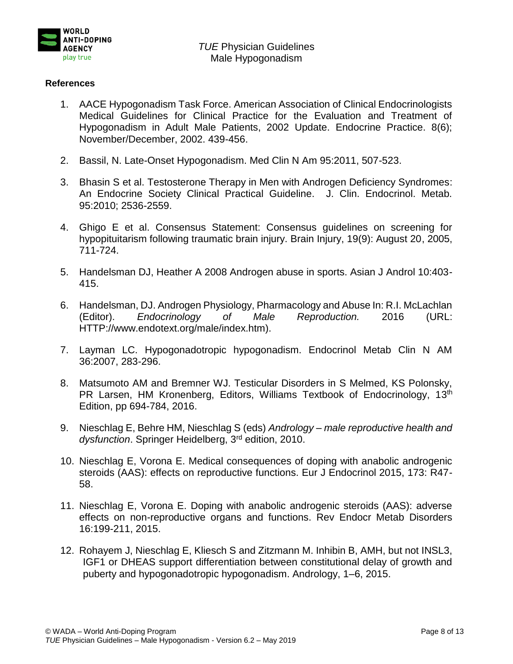

#### **References**

- 1. AACE Hypogonadism Task Force. American Association of Clinical Endocrinologists Medical Guidelines for Clinical Practice for the Evaluation and Treatment of Hypogonadism in Adult Male Patients, 2002 Update. Endocrine Practice. 8(6); November/December, 2002. 439-456.
- 2. Bassil, N. Late-Onset Hypogonadism. Med Clin N Am 95:2011, 507-523.
- 3. Bhasin S et al. Testosterone Therapy in Men with Androgen Deficiency Syndromes: An Endocrine Society Clinical Practical Guideline. J. Clin. Endocrinol. Metab. 95:2010; 2536-2559.
- 4. Ghigo E et al. Consensus Statement: Consensus guidelines on screening for hypopituitarism following traumatic brain injury. Brain Injury, 19(9): August 20, 2005, 711-724.
- 5. Handelsman DJ, Heather A 2008 Androgen abuse in sports. Asian J Androl 10:403- 415.
- 6. Handelsman, DJ. Androgen Physiology, Pharmacology and Abuse In: R.I. McLachlan (Editor). *Endocrinology of Male Reproduction.* 2016 (URL: HTTP://www.endotext.org/male/index.htm).
- 7. Layman LC. Hypogonadotropic hypogonadism. Endocrinol Metab Clin N AM 36:2007, 283-296.
- 8. Matsumoto AM and Bremner WJ. Testicular Disorders in S Melmed, KS Polonsky, PR Larsen, HM Kronenberg, Editors, Williams Textbook of Endocrinology, 13<sup>th</sup> Edition, pp 694-784, 2016.
- 9. Nieschlag E, Behre HM, Nieschlag S (eds) *Andrology – male reproductive health and*  dysfunction. Springer Heidelberg, 3<sup>rd</sup> edition, 2010.
- 10. Nieschlag E, Vorona E. Medical consequences of doping with anabolic androgenic steroids (AAS): effects on reproductive functions. Eur J Endocrinol 2015, 173: R47- 58.
- 11. Nieschlag E, Vorona E. Doping with anabolic androgenic steroids (AAS): adverse effects on non-reproductive organs and functions. Rev Endocr Metab Disorders 16:199-211, 2015.
- 12. Rohayem J, Nieschlag E, Kliesch S and Zitzmann M. Inhibin B, AMH, but not INSL3, IGF1 or DHEAS support differentiation between constitutional delay of growth and puberty and hypogonadotropic hypogonadism. Andrology, 1–6, 2015.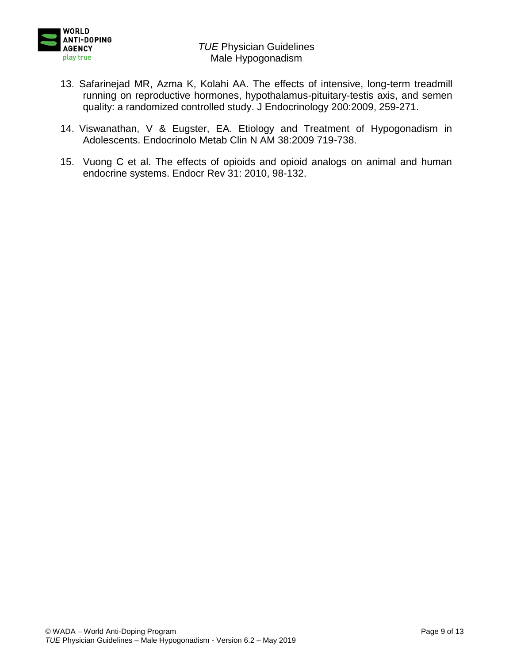

- 13. Safarinejad MR, Azma K, Kolahi AA. The effects of intensive, long-term treadmill running on reproductive hormones, hypothalamus-pituitary-testis axis, and semen quality: a randomized controlled study. J Endocrinology 200:2009, 259-271.
- 14. Viswanathan, V & Eugster, EA. Etiology and Treatment of Hypogonadism in Adolescents. Endocrinolo Metab Clin N AM 38:2009 719-738.
- 15. Vuong C et al. The effects of opioids and opioid analogs on animal and human endocrine systems. Endocr Rev 31: 2010, 98-132.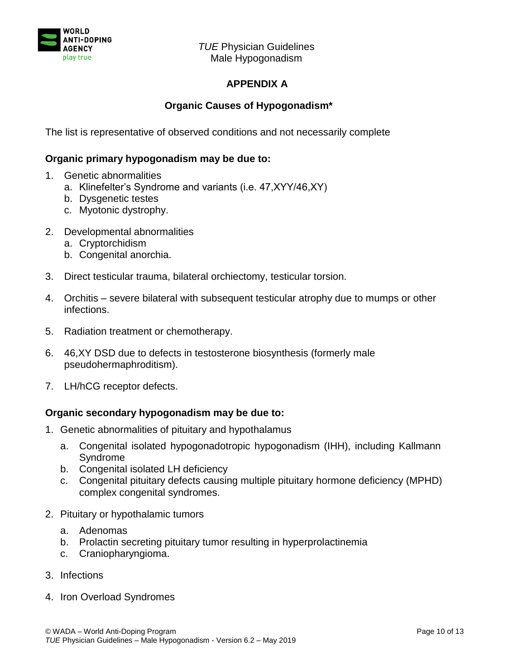

# **APPENDIX A**

# **Organic Causes of Hypogonadism\***

The list is representative of observed conditions and not necessarily complete

### **Organic primary hypogonadism may be due to:**

- 1. Genetic abnormalities
	- a. Klinefelter's Syndrome and variants (i.e. 47,XYY/46,XY)
	- b. Dysgenetic testes
	- c. Myotonic dystrophy.
- 2. Developmental abnormalities
	- a. Cryptorchidism
	- b. Congenital anorchia.
- 3. Direct testicular trauma, bilateral orchiectomy, testicular torsion.
- 4. Orchitis severe bilateral with subsequent testicular atrophy due to mumps or other infections.
- 5. Radiation treatment or chemotherapy.
- 6. 46,XY DSD due to defects in testosterone biosynthesis (formerly male pseudohermaphroditism).
- 7. LH/hCG receptor defects.

#### **Organic secondary hypogonadism may be due to:**

- 1. Genetic abnormalities of pituitary and hypothalamus
	- a. Congenital isolated hypogonadotropic hypogonadism (IHH), including Kallmann Syndrome
	- b. Congenital isolated LH deficiency
	- c. Congenital pituitary defects causing multiple pituitary hormone deficiency (MPHD) complex congenital syndromes.
- 2. Pituitary or hypothalamic tumors
	- a. Adenomas
	- b. Prolactin secreting pituitary tumor resulting in hyperprolactinemia
	- c. Craniopharyngioma.
- 3. Infections
- 4. Iron Overload Syndromes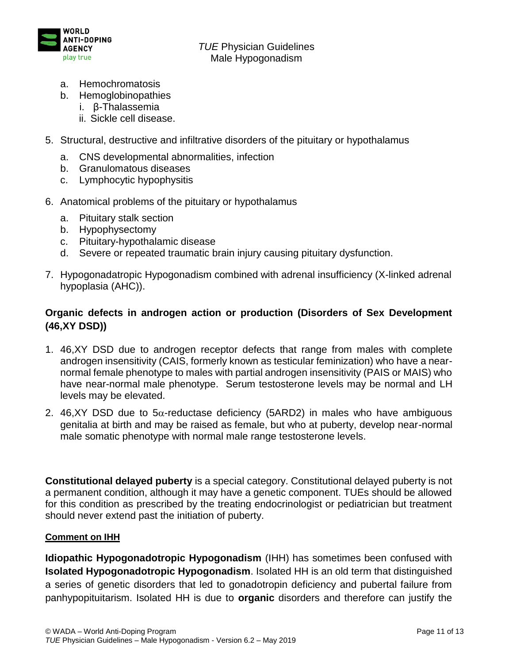

- a. Hemochromatosis
- b. Hemoglobinopathies
	- i. β-Thalassemia
	- ii. Sickle cell disease.
- 5. Structural, destructive and infiltrative disorders of the pituitary or hypothalamus
	- a. CNS developmental abnormalities, infection
	- b. Granulomatous diseases
	- c. Lymphocytic hypophysitis
- 6. Anatomical problems of the pituitary or hypothalamus
	- a. Pituitary stalk section
	- b. Hypophysectomy
	- c. Pituitary-hypothalamic disease
	- d. Severe or repeated traumatic brain injury causing pituitary dysfunction.
- 7. Hypogonadatropic Hypogonadism combined with adrenal insufficiency (X-linked adrenal hypoplasia (AHC)).

# **Organic defects in androgen action or production (Disorders of Sex Development (46,XY DSD))**

- 1. 46,XY DSD due to androgen receptor defects that range from males with complete androgen insensitivity (CAIS, formerly known as testicular feminization) who have a nearnormal female phenotype to males with partial androgen insensitivity (PAIS or MAIS) who have near-normal male phenotype. Serum testosterone levels may be normal and LH levels may be elevated.
- 2. 46, XY DSD due to  $5\alpha$ -reductase deficiency (5ARD2) in males who have ambiguous genitalia at birth and may be raised as female, but who at puberty, develop near-normal male somatic phenotype with normal male range testosterone levels.

**Constitutional delayed puberty** is a special category. Constitutional delayed puberty is not a permanent condition, although it may have a genetic component. TUEs should be allowed for this condition as prescribed by the treating endocrinologist or pediatrician but treatment should never extend past the initiation of puberty.

#### **Comment on IHH**

**Idiopathic Hypogonadotropic Hypogonadism** (IHH) has sometimes been confused with **Isolated Hypogonadotropic Hypogonadism**. Isolated HH is an old term that distinguished a series of genetic disorders that led to gonadotropin deficiency and pubertal failure from panhypopituitarism. Isolated HH is due to **organic** disorders and therefore can justify the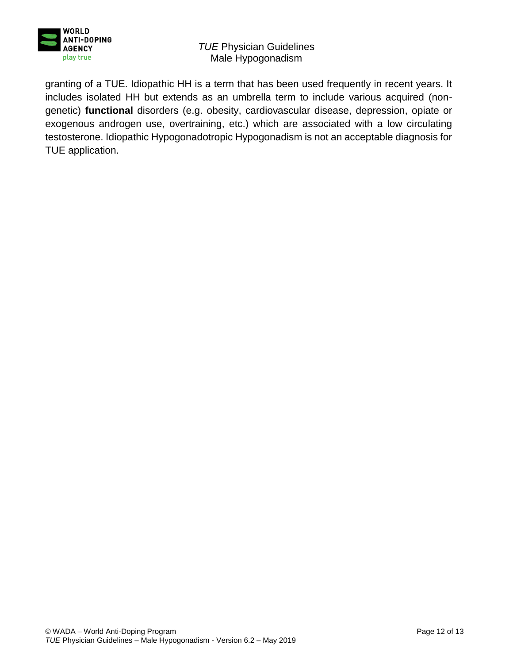

granting of a TUE. Idiopathic HH is a term that has been used frequently in recent years. It includes isolated HH but extends as an umbrella term to include various acquired (nongenetic) **functional** disorders (e.g. obesity, cardiovascular disease, depression, opiate or exogenous androgen use, overtraining, etc.) which are associated with a low circulating testosterone. Idiopathic Hypogonadotropic Hypogonadism is not an acceptable diagnosis for TUE application.